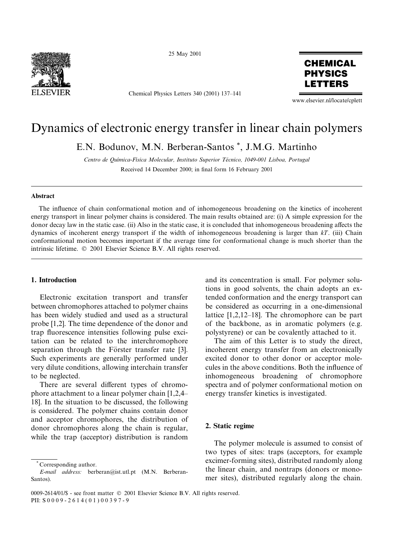

25 May 2001

Chemical Physics Letters 340 (2001) 137-141



www.elsevier.nl/locate/cplett

# Dynamics of electronic energy transfer in linear chain polymers

E.N. Bodunov, M.N. Berberan-Santos \*, J.M.G. Martinho

Centro de Química-Física Molecular, Instituto Superior Técnico, 1049-001 Lisboa, Portugal Received 14 December 2000; in final form 16 February 2001

# Abstract

The influence of chain conformational motion and of inhomogeneous broadening on the kinetics of incoherent energy transport in linear polymer chains is considered. The main results obtained are: (i) A simple expression for the donor decay law in the static case. (ii) Also in the static case, it is concluded that inhomogeneous broadening affects the dynamics of incoherent energy transport if the width of inhomogeneous broadening is larger than  $kT$ . (iii) Chain conformational motion becomes important if the average time for conformational change is much shorter than the intrinsic lifetime. © 2001 Elsevier Science B.V. All rights reserved.

## 1. Introduction

Electronic excitation transport and transfer between chromophores attached to polymer chains has been widely studied and used as a structural probe [1,2]. The time dependence of the donor and trap fluorescence intensities following pulse excitation can be related to the interchromophore separation through the Förster transfer rate [3]. Such experiments are generally performed under very dilute conditions, allowing interchain transfer to be neglected.

There are several different types of chromophore attachment to a linear polymer chain  $[1,2,4-$ 18. In the situation to be discussed, the following is considered. The polymer chains contain donor and acceptor chromophores, the distribution of donor chromophores along the chain is regular, while the trap (acceptor) distribution is random

and its concentration is small. For polymer solutions in good solvents, the chain adopts an extended conformation and the energy transport can be considered as occurring in a one-dimensional lattice  $[1,2,12-18]$ . The chromophore can be part of the backbone, as in aromatic polymers (e.g. polystyrene) or can be covalently attached to it.

The aim of this Letter is to study the direct, incoherent energy transfer from an electronically excited donor to other donor or acceptor molecules in the above conditions. Both the influence of inhomogeneous broadening of chromophore spectra and of polymer conformational motion on energy transfer kinetics is investigated.

## 2. Static regime

The polymer molecule is assumed to consist of two types of sites: traps (acceptors, for example excimer-forming sites), distributed randomly along the linear chain, and nontraps (donors or monomer sites), distributed regularly along the chain.

Corresponding author.

E-mail address: berberan@ist.utl.pt (M.N. Berberan-Santos).

<sup>0009-2614/01/\$ -</sup> see front matter © 2001 Elsevier Science B.V. All rights reserved. PII: S0009-2614(01)00397-9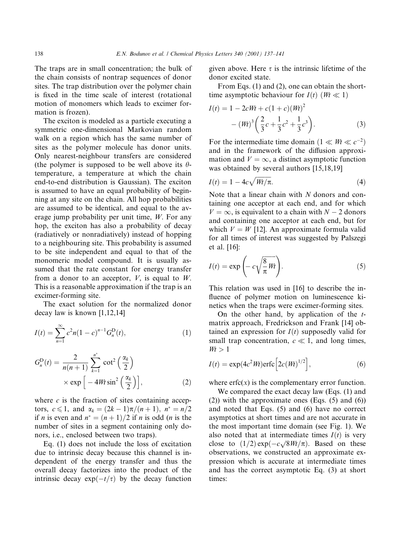The traps are in small concentration; the bulk of the chain consists of nontrap sequences of donor sites. The trap distribution over the polymer chain is fixed in the time scale of interest (rotational motion of monomers which leads to excimer formation is frozen).

The exciton is modeled as a particle executing a symmetric one-dimensional Markovian random walk on a region which has the same number of sites as the polymer molecule has donor units. Only nearest-neighbour transfers are considered (the polymer is supposed to be well above its  $\theta$ temperature, a temperature at which the chain end-to-end distribution is Gaussian). The exciton is assumed to have an equal probability of beginning at any site on the chain. All hop probabilities are assumed to be identical, and equal to the average jump probability per unit time,  $W$ . For any hop, the exciton has also a probability of decay (radiatively or nonradiatively) instead of hopping to a neighbouring site. This probability is assumed to be site independent and equal to that of the monomeric model compound. It is usually assumed that the rate constant for energy transfer from a donor to an acceptor,  $V$ , is equal to  $W$ . This is a reasonable approximation if the trap is an excimer-forming site.

The exact solution for the normalized donor decay law is known  $[1,12,14]$ 

$$
I(t) = \sum_{n=1}^{\infty} c^2 n (1 - c)^{n-1} G_n^D(t),
$$
 (1)

$$
G_n^{\mathcal{D}}(t) = \frac{2}{n(n+1)} \sum_{k=1}^{n^*} \cot^2\left(\frac{\alpha_k}{2}\right)
$$
  
 
$$
\times \exp\left[-4Wt \sin^2\left(\frac{\alpha_k}{2}\right)\right],
$$
 (2)

where  $c$  is the fraction of sites containing acceptors,  $c \le 1$ , and  $\alpha_k = (2k - 1)\pi/(n + 1)$ ,  $n^* = n/2$ if *n* is even and  $n^* = (n+1)/2$  if *n* is odd (*n* is the number of sites in a segment containing only donors, *i.e.*, enclosed between two traps).

Eq.  $(1)$  does not include the loss of excitation due to intrinsic decay because this channel is independent of the energy transfer and thus the overall decay factorizes into the product of the intrinsic decay  $\exp(-t/\tau)$  by the decay function given above. Here  $\tau$  is the intrinsic lifetime of the donor excited state.

From Eqs.  $(1)$  and  $(2)$ , one can obtain the shorttime asymptotic behaviour for  $I(t)$  ( $Wt \ll 1$ )

$$
I(t) = 1 - 2cWt + c(1 + c)(Wt)^{2}
$$
  
- (Wt)<sup>3</sup> $\left(\frac{2}{3}c + \frac{1}{3}c^{2} + \frac{1}{3}c^{3}\right)$ . (3)

For the intermediate time domain  $(1 \ll Wt \ll c^{-2})$ and in the framework of the diffusion approximation and  $V = \infty$ , a distinct asymptotic function was obtained by several authors [15,18,19]

$$
I(t) = 1 - 4c\sqrt{Wt/\pi}.
$$
\n(4)

Note that a linear chain with  $N$  donors and containing one acceptor at each end, and for which  $V = \infty$ , is equivalent to a chain with  $N - 2$  donors and containing one acceptor at each end, but for which  $V = W$  [12]. An approximate formula valid for all times of interest was suggested by Palszegi et al. [16]:

$$
I(t) = \exp\left(-c\sqrt{\frac{8}{\pi}Wt}\right).
$$
 (5)

This relation was used in [16] to describe the influence of polymer motion on luminescence kinetics when the traps were excimer-forming sites.

On the other hand, by application of the  $t$ matrix approach, Fredrickson and Frank [14] obtained an expression for  $I(t)$  supposedly valid for small trap concentration,  $c \ll 1$ , and long times,  $Wt > 1$ 

$$
I(t) = \exp(4c^2Wt)\operatorname{erfc}\left[2c(Wt)^{1/2}\right],\tag{6}
$$

where  $erfc(x)$  is the complementary error function.

We compared the exact decay law (Eqs. (1) and  $(2)$ ) with the approximate ones (Eqs.  $(5)$  and  $(6)$ ) and noted that Eqs. (5) and (6) have no correct asymptotics at short times and are not accurate in the most important time domain (see Fig. 1). We also noted that at intermediate times  $I(t)$  is very close to  $(1/2) \exp(-c\sqrt{8Wt}/\pi)$ . Based on these observations, we constructed an approximate expression which is accurate at intermediate times and has the correct asymptotic Eq. (3) at short times: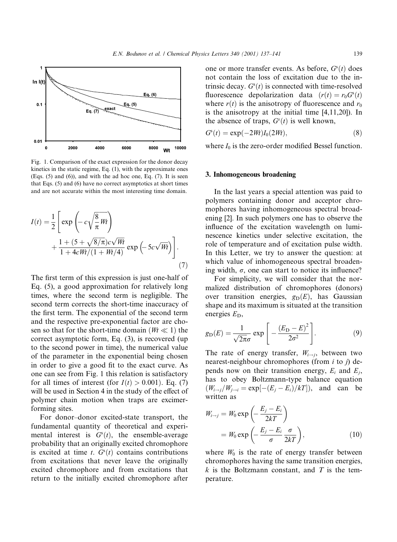

Fig. 1. Comparison of the exact expression for the donor decay kinetics in the static regime, Eq.  $(1)$ , with the approximate ones (Eqs.  $(5)$  and  $(6)$ ), and with the ad hoc one, Eq.  $(7)$ . It is seen that Eqs. (5) and (6) have no correct asymptotics at short times and are not accurate within the most interesting time domain.

$$
I(t) = \frac{1}{2} \left[ \exp\left(-c\sqrt{\frac{8}{\pi}Wt}\right) + \frac{1 + (5 + \sqrt{8/\pi})c\sqrt{Wt}}{1 + 4cWt/(1 + Wt/4)} \exp\left(-5c\sqrt{Wt}\right) \right].
$$
\n(7)

The first term of this expression is just one-half of Eq.  $(5)$ , a good approximation for relatively long times, where the second term is negligible. The second term corrects the short-time inaccuracy of the first term. The exponential of the second term and the respective pre-exponential factor are chosen so that for the short-time domain ( $Wt \ll 1$ ) the correct asymptotic form, Eq. (3), is recovered (up to the second power in time), the numerical value of the parameter in the exponential being chosen in order to give a good fit to the exact curve. As one can see from Fig. 1 this relation is satisfactory for all times of interest (for  $I(t) > 0.001$ ). Eq. (7) will be used in Section 4 in the study of the effect of polymer chain motion when traps are excimerforming sites.

For donor-donor excited-state transport, the fundamental quantity of theoretical and experimental interest is  $G<sup>s</sup>(t)$ , the ensemble-average probability that an originally excited chromophore is excited at time t.  $G<sup>s</sup>(t)$  contains contributions from excitations that never leave the originally excited chromophore and from excitations that return to the initially excited chromophore after one or more transfer events. As before,  $G<sup>s</sup>(t)$  does not contain the loss of excitation due to the intrinsic decay.  $G<sup>s</sup>(t)$  is connected with time-resolved fluorescence depolarization data  $(r(t) = r_0 G<sup>s</sup>(t))$ where  $r(t)$  is the anisotropy of fluorescence and  $r_0$ is the anisotropy at the initial time  $[4,11,20]$ ). In the absence of traps,  $G<sup>s</sup>(t)$  is well known,

$$
Gs(t) = \exp(-2Wt)I0(2Wt),
$$
\n(8)

where  $I_0$  is the zero-order modified Bessel function.

#### 3. Inhomogeneous broadening

In the last years a special attention was paid to polymers containing donor and acceptor chromophores having inhomogeneous spectral broadening [2]. In such polymers one has to observe the influence of the excitation wavelength on luminescence kinetics under selective excitation, the role of temperature and of excitation pulse width. In this Letter, we try to answer the question: at which value of inhomogeneous spectral broadening width,  $\sigma$ , one can start to notice its influence?

For simplicity, we will consider that the normalized distribution of chromophores (donors) over transition energies,  $g_D(E)$ , has Gaussian shape and its maximum is situated at the transition energies  $E_D$ ,

$$
g_{\rm D}(E) = \frac{1}{\sqrt{2\pi}\sigma} \exp\left[-\frac{(E_{\rm D} - E)^2}{2\sigma^2}\right].
$$
 (9)

The rate of energy transfer,  $W_{i\rightarrow i}$ , between two nearest-neighbour chromophores (from  $i$  to  $j$ ) depends now on their transition energy,  $E_i$  and  $E_i$ , has to obey Boltzmann-type balance equation  $(W_{i\rightarrow j}/W_{j\rightarrow i} = \exp[-(E_i - E_i)/kT]),$  and can be written as

$$
W_{i\to j} = W_0 \exp\left(-\frac{E_j - E_i}{2kT}\right)
$$
  
=  $W_0 \exp\left(-\frac{E_j - E_i}{\sigma} \frac{\sigma}{2kT}\right),$  (10)

where  $W_0$  is the rate of energy transfer between chromophores having the same transition energies,  $k$  is the Boltzmann constant, and  $T$  is the temperature.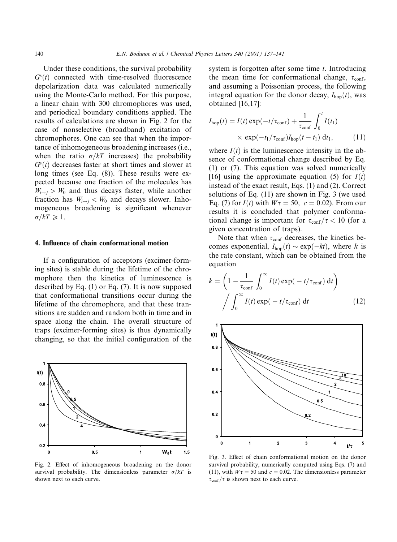Under these conditions, the survival probability  $G<sup>s</sup>(t)$  connected with time-resolved fluorescence depolarization data was calculated numerically using the Monte-Carlo method. For this purpose, a linear chain with 300 chromophores was used, and periodical boundary conditions applied. The results of calculations are shown in Fig. 2 for the case of nonselective (broadband) excitation of chromophores. One can see that when the importance of inhomogeneous broadening increases (i.e., when the ratio  $\sigma/kT$  increases) the probability  $G<sup>s</sup>(t)$  decreases faster at short times and slower at long times (see Eq.  $(8)$ ). These results were expected because one fraction of the molecules has  $W_{i\rightarrow i} > W_0$  and thus decays faster, while another fraction has  $W_{i\rightarrow i} < W_0$  and decays slower. Inhomogeneous broadening is significant whenever  $\sigma/kT \geqslant 1.$ 

#### 4. Influence of chain conformational motion

If a configuration of acceptors (excimer-forming sites) is stable during the lifetime of the chromophore then the kinetics of luminescence is described by Eq.  $(1)$  or Eq.  $(7)$ . It is now supposed that conformational transitions occur during the lifetime of the chromophore, and that these transitions are sudden and random both in time and in space along the chain. The overall structure of traps (excimer-forming sites) is thus dynamically changing, so that the initial configuration of the



Fig. 2. Effect of inhomogeneous broadening on the donor survival probability. The dimensionless parameter  $\sigma/kT$  is shown next to each curve.

system is forgotten after some time  $t$ . Introducing the mean time for conformational change,  $\tau_{\text{conf}}$ , and assuming a Poissonian process, the following integral equation for the donor decay,  $I_{\text{hon}}(t)$ , was obtained  $[16,17]$ :

$$
I_{\rm hop}(t) = I(t) \exp(-t/\tau_{\rm conf}) + \frac{1}{\tau_{\rm conf}} \int_0^t I(t_1)
$$
  
 
$$
\times \exp(-t_1/\tau_{\rm conf}) I_{\rm hop}(t-t_1) dt_1, \qquad (11)
$$

 $\overline{a}$ 

where  $I(t)$  is the luminescence intensity in the absence of conformational change described by Eq.  $(1)$  or  $(7)$ . This equation was solved numerically [16] using the approximate equation (5) for  $I(t)$ instead of the exact result, Eqs. (1) and (2). Correct solutions of Eq.  $(11)$  are shown in Fig. 3 (we used Eq. (7) for  $I(t)$  with  $W\tau = 50$ ,  $c = 0.02$ ). From our results it is concluded that polymer conformational change is important for  $\tau_{conf}/\tau$  < 10 (for a given concentration of traps).

Note that when  $\tau_{\text{conf}}$  decreases, the kinetics becomes exponential,  $I_{\text{hop}}(t) \sim \exp(-kt)$ , where k is the rate constant, which can be obtained from the equation

$$
k = \left(1 - \frac{1}{\tau_{\text{conf}}} \int_0^\infty I(t) \exp(-t/\tau_{\text{conf}}) dt\right)
$$

$$
\int_0^\infty I(t) \exp(-t/\tau_{\text{conf}}) dt \qquad (12)
$$



Fig. 3. Effect of chain conformational motion on the donor survival probability, numerically computed using Eqs. (7) and (11), with  $W\tau = 50$  and  $c = 0.02$ . The dimensionless parameter  $\tau_{\text{conf}}/\tau$  is shown next to each curve.